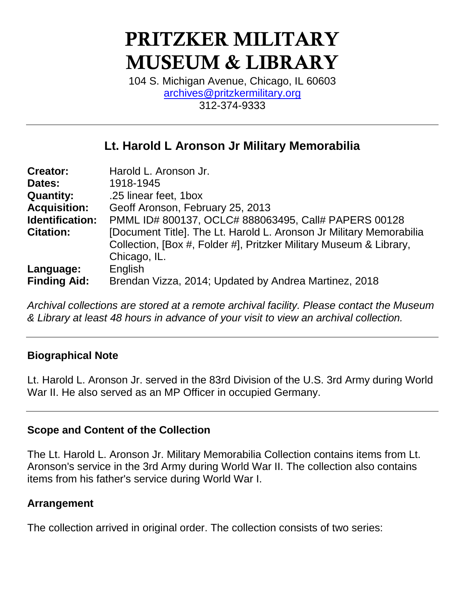# **PRITZKER MILITARY MUSEUM & LIBRARY**

104 S. Michigan Avenue, Chicago, IL 60603 [archives@pritzkermilitary.org](mailto:archives@pritzkermilitary.org) 312-374-9333

# **Lt. Harold L Aronson Jr Military Memorabilia**

| <b>Creator:</b>     | Harold L. Aronson Jr.                                               |
|---------------------|---------------------------------------------------------------------|
| Dates:              | 1918-1945                                                           |
| <b>Quantity:</b>    | .25 linear feet, 1box                                               |
| <b>Acquisition:</b> | Geoff Aronson, February 25, 2013                                    |
| Identification:     | PMML ID# 800137, OCLC# 888063495, Call# PAPERS 00128                |
| <b>Citation:</b>    | [Document Title]. The Lt. Harold L. Aronson Jr Military Memorabilia |
|                     | Collection, [Box #, Folder #], Pritzker Military Museum & Library,  |
|                     | Chicago, IL.                                                        |
| Language:           | English                                                             |
| <b>Finding Aid:</b> | Brendan Vizza, 2014; Updated by Andrea Martinez, 2018               |

*Archival collections are stored at a remote archival facility. Please contact the Museum & Library at least 48 hours in advance of your visit to view an archival collection.*

# **Biographical Note**

Lt. Harold L. Aronson Jr. served in the 83rd Division of the U.S. 3rd Army during World War II. He also served as an MP Officer in occupied Germany.

## **Scope and Content of the Collection**

The Lt. Harold L. Aronson Jr. Military Memorabilia Collection contains items from Lt. Aronson's service in the 3rd Army during World War II. The collection also contains items from his father's service during World War I.

## **Arrangement**

The collection arrived in original order. The collection consists of two series: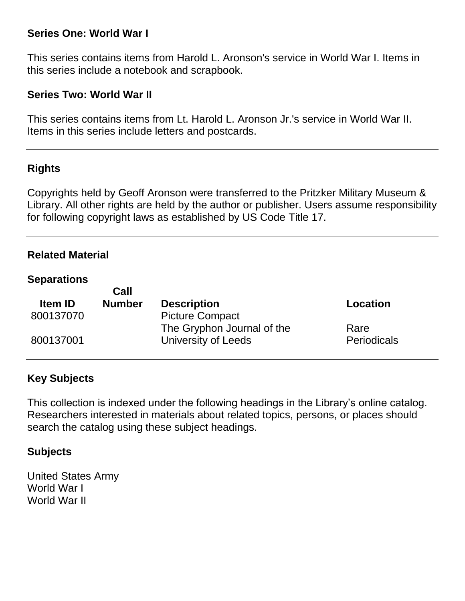# **Series One: World War I**

This series contains items from Harold L. Aronson's service in World War I. Items in this series include a notebook and scrapbook.

# **Series Two: World War II**

This series contains items from Lt. Harold L. Aronson Jr.'s service in World War II. Items in this series include letters and postcards.

# **Rights**

Copyrights held by Geoff Aronson were transferred to the Pritzker Military Museum & Library. All other rights are held by the author or publisher. Users assume responsibility for following copyright laws as established by US Code Title 17.

## **Related Material**

#### **Separations**

|                | Call          |                            |                    |
|----------------|---------------|----------------------------|--------------------|
| <b>Item ID</b> | <b>Number</b> | <b>Description</b>         | Location           |
| 800137070      |               | <b>Picture Compact</b>     |                    |
|                |               | The Gryphon Journal of the | Rare               |
| 800137001      |               | University of Leeds        | <b>Periodicals</b> |
|                |               |                            |                    |

# **Key Subjects**

This collection is indexed under the following headings in the Library's online catalog. Researchers interested in materials about related topics, persons, or places should search the catalog using these subject headings.

## **Subjects**

United States Army World War I World War II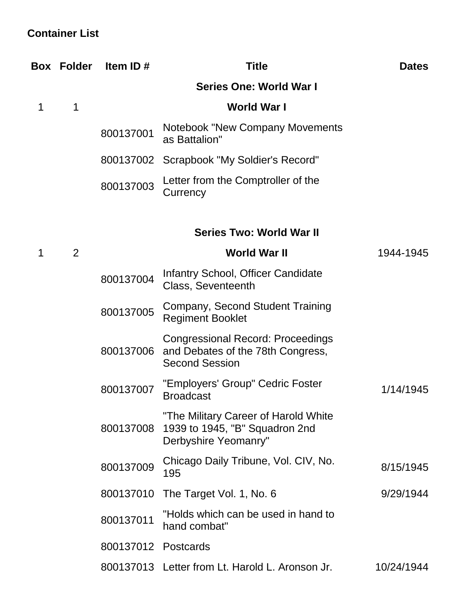# **Container List**

|   | <b>Box Folder</b> | Item ID#  | <b>Title</b>                                                                                           | <b>Dates</b> |
|---|-------------------|-----------|--------------------------------------------------------------------------------------------------------|--------------|
|   |                   |           | Series One: World War I                                                                                |              |
| 1 | 1                 |           | World War I                                                                                            |              |
|   |                   | 800137001 | Notebook "New Company Movements<br>as Battalion"                                                       |              |
|   |                   |           | 800137002 Scrapbook "My Soldier's Record"                                                              |              |
|   |                   | 800137003 | Letter from the Comptroller of the<br>Currency                                                         |              |
|   |                   |           | <b>Series Two: World War II</b>                                                                        |              |
| 1 | 2                 |           | <b>World War II</b>                                                                                    | 1944-1945    |
|   |                   | 800137004 | Infantry School, Officer Candidate<br>Class, Seventeenth                                               |              |
|   |                   | 800137005 | Company, Second Student Training<br><b>Regiment Booklet</b>                                            |              |
|   |                   | 800137006 | <b>Congressional Record: Proceedings</b><br>and Debates of the 78th Congress,<br><b>Second Session</b> |              |
|   |                   | 800137007 | "Employers' Group" Cedric Foster<br><b>Broadcast</b>                                                   | 1/14/1945    |
|   |                   | 800137008 | "The Military Career of Harold White<br>1939 to 1945, "B" Squadron 2nd<br>Derbyshire Yeomanry"         |              |
|   |                   | 800137009 | Chicago Daily Tribune, Vol. CIV, No.<br>195                                                            | 8/15/1945    |
|   |                   | 800137010 | The Target Vol. 1, No. 6                                                                               | 9/29/1944    |
|   |                   | 800137011 | "Holds which can be used in hand to<br>hand combat"                                                    |              |
|   |                   | 800137012 | Postcards                                                                                              |              |
|   |                   |           | 800137013 Letter from Lt. Harold L. Aronson Jr.                                                        | 10/24/1944   |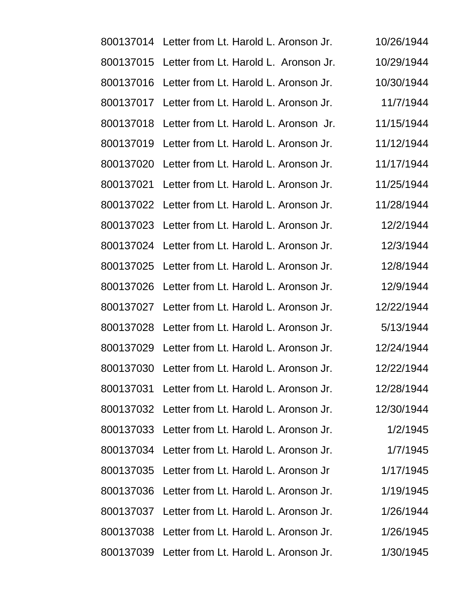|           | 800137014 Letter from Lt. Harold L. Aronson Jr. | 10/26/1944 |
|-----------|-------------------------------------------------|------------|
| 800137015 | Letter from Lt. Harold L. Aronson Jr.           | 10/29/1944 |
| 800137016 | Letter from Lt. Harold L. Aronson Jr.           | 10/30/1944 |
| 800137017 | Letter from Lt. Harold L. Aronson Jr.           | 11/7/1944  |
| 800137018 | Letter from Lt. Harold L. Aronson Jr.           | 11/15/1944 |
| 800137019 | Letter from Lt. Harold L. Aronson Jr.           | 11/12/1944 |
| 800137020 | Letter from Lt. Harold L. Aronson Jr.           | 11/17/1944 |
| 800137021 | Letter from Lt. Harold L. Aronson Jr.           | 11/25/1944 |
|           | 800137022 Letter from Lt. Harold L. Aronson Jr. | 11/28/1944 |
| 800137023 | Letter from Lt. Harold L. Aronson Jr.           | 12/2/1944  |
| 800137024 | Letter from Lt. Harold L. Aronson Jr.           | 12/3/1944  |
| 800137025 | Letter from Lt. Harold L. Aronson Jr.           | 12/8/1944  |
|           | 800137026 Letter from Lt. Harold L. Aronson Jr. | 12/9/1944  |
| 800137027 | Letter from Lt. Harold L. Aronson Jr.           | 12/22/1944 |
| 800137028 | Letter from Lt. Harold L. Aronson Jr.           | 5/13/1944  |
| 800137029 | Letter from Lt. Harold L. Aronson Jr.           | 12/24/1944 |
|           | 800137030 Letter from Lt. Harold L. Aronson Jr. | 12/22/1944 |
|           | 800137031 Letter from Lt. Harold L. Aronson Jr. | 12/28/1944 |
|           | 800137032 Letter from Lt. Harold L. Aronson Jr. | 12/30/1944 |
|           | 800137033 Letter from Lt. Harold L. Aronson Jr. | 1/2/1945   |
|           | 800137034 Letter from Lt. Harold L. Aronson Jr. | 1/7/1945   |
|           | 800137035 Letter from Lt. Harold L. Aronson Jr  | 1/17/1945  |
|           | 800137036 Letter from Lt. Harold L. Aronson Jr. | 1/19/1945  |
|           | 800137037 Letter from Lt. Harold L. Aronson Jr. | 1/26/1944  |
|           | 800137038 Letter from Lt. Harold L. Aronson Jr. | 1/26/1945  |
|           | 800137039 Letter from Lt. Harold L. Aronson Jr. | 1/30/1945  |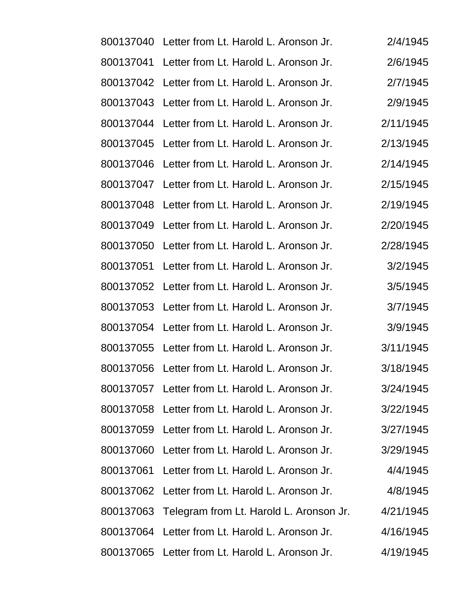|           | 800137040 Letter from Lt. Harold L. Aronson Jr.   | 2/4/1945  |
|-----------|---------------------------------------------------|-----------|
| 800137041 | Letter from Lt. Harold L. Aronson Jr.             | 2/6/1945  |
|           | 800137042 Letter from Lt. Harold L. Aronson Jr.   | 2/7/1945  |
|           | 800137043 Letter from Lt. Harold L. Aronson Jr.   | 2/9/1945  |
|           | 800137044 Letter from Lt. Harold L. Aronson Jr.   | 2/11/1945 |
|           | 800137045 Letter from Lt. Harold L. Aronson Jr.   | 2/13/1945 |
|           | 800137046 Letter from Lt. Harold L. Aronson Jr.   | 2/14/1945 |
|           | 800137047 Letter from Lt. Harold L. Aronson Jr.   | 2/15/1945 |
|           | 800137048 Letter from Lt. Harold L. Aronson Jr.   | 2/19/1945 |
| 800137049 | Letter from Lt. Harold L. Aronson Jr.             | 2/20/1945 |
| 800137050 | Letter from Lt. Harold L. Aronson Jr.             | 2/28/1945 |
| 800137051 | Letter from Lt. Harold L. Aronson Jr.             | 3/2/1945  |
|           | 800137052 Letter from Lt. Harold L. Aronson Jr.   | 3/5/1945  |
|           | 800137053 Letter from Lt. Harold L. Aronson Jr.   | 3/7/1945  |
| 800137054 | Letter from Lt. Harold L. Aronson Jr.             | 3/9/1945  |
|           | 800137055 Letter from Lt. Harold L. Aronson Jr.   | 3/11/1945 |
|           | 800137056 Letter from Lt. Harold L. Aronson Jr.   | 3/18/1945 |
|           | 800137057 Letter from Lt. Harold L. Aronson Jr.   | 3/24/1945 |
|           | 800137058 Letter from Lt. Harold L. Aronson Jr.   | 3/22/1945 |
|           | 800137059 Letter from Lt. Harold L. Aronson Jr.   | 3/27/1945 |
|           | 800137060 Letter from Lt. Harold L. Aronson Jr.   | 3/29/1945 |
|           | 800137061 Letter from Lt. Harold L. Aronson Jr.   | 4/4/1945  |
|           | 800137062 Letter from Lt. Harold L. Aronson Jr.   | 4/8/1945  |
|           | 800137063 Telegram from Lt. Harold L. Aronson Jr. | 4/21/1945 |
|           | 800137064 Letter from Lt. Harold L. Aronson Jr.   | 4/16/1945 |
|           | 800137065 Letter from Lt. Harold L. Aronson Jr.   | 4/19/1945 |